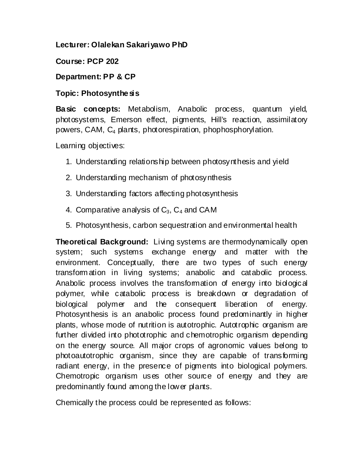### **Lecturer: Olalekan Sakariyawo PhD**

## **Course: PCP 202**

## **Department: PP & CP**

## **Topic: Photosynthesis**

**Basic concepts:** Metabolism, Anabolic process, quantum yield, photosystems, Emerson effect, pigments, Hill's reaction, assimilatory powers, CAM, C<sup>4</sup> plants, photorespiration, phophosphorylation.

Learning objectives:

- 1. Understanding relationship between photosynthesis and yield
- 2. Understanding mechanism of photosynthesis
- 3. Understanding factors affecting photosynthesis
- 4. Comparative analysis of  $C_3$ ,  $C_4$  and CAM
- 5. Photosynthesis, carbon sequestration and environmental health

**Theoretical Background:** Living systems are thermodynamically open system; such systems exchange energy and matter with the environment. Conceptually, there are two types of such energy transform ation in living systems; anabolic and catabolic process. Anabolic process involves the transformation of energy into biological polymer, while catabolic process is breakdown or degradation of biological polymer and the consequent liberation of energy. Photosynthesis is an anabolic process found predominantly in higher plants, whose mode of nutrition is autotrophic. Autotrophic organism are further divided into phototrophic and chemotrophic organism depending on the energy source. All major crops of agronomic values belong to photoautotrophic organism, since they are capable of transforming radiant energy, in the presence of pigments into biological polymers. Chemotropic organism uses other source of energy and they are predominantly found among the lower plants.

Chemically the process could be represented as follows: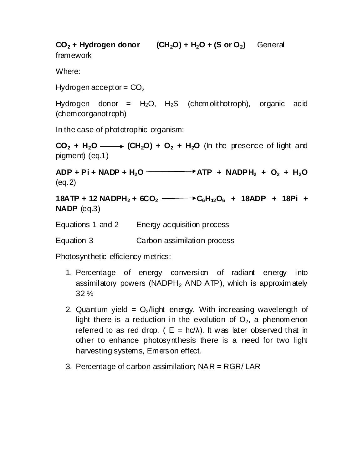**CO**<sub>2</sub> + Hydrogen donor  $(CH_2O) + H_2O + (S or O_2)$  General framework

Where:

Hydrogen acceptor =  $CO<sub>2</sub>$ 

Hydrogen donor =  $H_2O$ ,  $H_2S$  (chemolithotroph), organic acid (chemoorganotroph)

In the case of phototrophic organism:

 $CO<sub>2</sub> + H<sub>2</sub>O \longrightarrow (CH<sub>2</sub>O) + O<sub>2</sub> + H<sub>2</sub>O$  (In the presence of light and pigment) (eq.1)

 $ADP + Pi + NADP + H_2O$  **ADP** + NADP $H_2 + O_2 + H_2O$ (eq.2)

**18ATP + 12 NADPH<sup>2</sup> + 6CO<sup>2</sup> C6H12O<sup>6</sup> + 18ADP + 18Pi + NADP** (eq.3)

Equations 1 and 2 Energy acquisition process

Equation 3 Carbon assimilation process

Photosynthetic efficiency metrics:

- 1. Percentage of energy conversion of radiant energy into assimilatory powers (NADPH<sub>2</sub> AND ATP), which is approximately 32 %
- 2. Quantum yield =  $O<sub>2</sub>/$ light energy. With increasing wavelength of light there is a reduction in the evolution of  $O<sub>2</sub>$ , a phenomenon referred to as red drop. (  $E = hc/\lambda$ ). It was later observed that in other to enhance photosynthesis there is a need for two light harvesting systems, Emerson effect.
- 3. Percentage of carbon assimilation; NAR = RGR/ LAR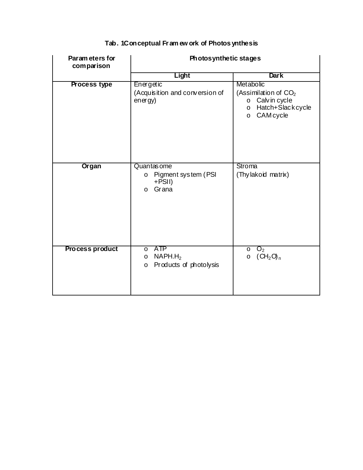| Param eters for<br>comparison | Photosynthetic stages                                                                        |                                                                                                                     |  |  |
|-------------------------------|----------------------------------------------------------------------------------------------|---------------------------------------------------------------------------------------------------------------------|--|--|
|                               | Light                                                                                        | <b>Dark</b>                                                                                                         |  |  |
| Process type                  | Energetic<br>(Acquisition and conversion of<br>energy)                                       | Metabolic<br>(Assimilation of $CO2$<br>o Calvin cycle<br>Hatch+Slackcycle<br>$\circ$<br><b>CAM</b> cycle<br>$\circ$ |  |  |
| Organ                         | Quantas ome<br>Pigment system (PSI<br>$\circ$<br>+PSII)<br>Grana<br>$\circ$                  | Stroma<br>(Thylakoid matrix)                                                                                        |  |  |
| <b>Process product</b>        | <b>ATP</b><br>$\circ$<br>NAPH.H <sub>2</sub><br>$\circ$<br>Products of photolysis<br>$\circ$ | O <sub>2</sub><br>$\circ$<br>(CH <sub>2</sub> O <sub>n</sub><br>$\circ$                                             |  |  |

#### **Tab. 1Conceptual Fr am ew ork of Photos ynthesis**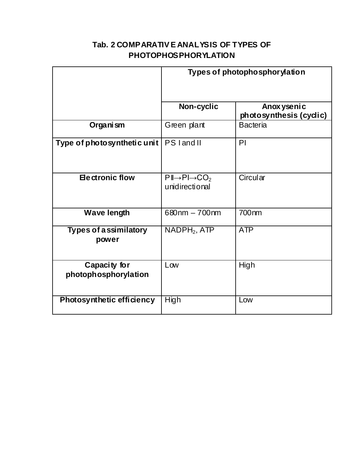# **Tab. 2 COMPARATIV E ANALYSIS OF TYPES OF PHOTOPHOSPHORYLATION**

|                                       | Types of photophosphorylation                                      |                                         |  |
|---------------------------------------|--------------------------------------------------------------------|-----------------------------------------|--|
|                                       | Non-cyclic                                                         | Anox ysenic<br>photo synthesis (cyclic) |  |
| Organism                              | Green plant                                                        | <b>Bacteria</b>                         |  |
| Type of photosynthetic unit           | PS land II                                                         | PI                                      |  |
| <b>Electronic flow</b>                | $P \rVert \rightarrow P \rVert \rightarrow CO_2$<br>unidirectional | Circular                                |  |
| <b>Wave length</b>                    | 680nm - 700nm                                                      | 700nm                                   |  |
| <b>Types of assimilatory</b><br>power | NADPH <sub>2</sub> , ATP                                           | <b>ATP</b>                              |  |
| Capacity for<br>photophosphorylation  | Low                                                                | High                                    |  |
| Photosynthetic efficiency             | High                                                               | Low                                     |  |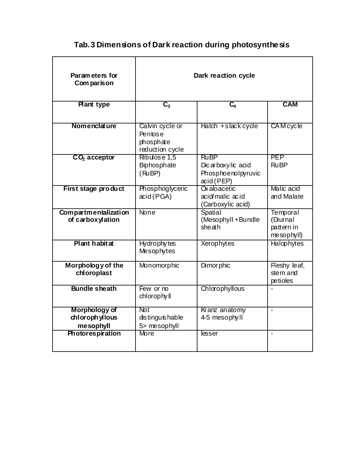# **Tab.3 Dimensions of Dark reaction during photosynthesis**

| Param eters for<br>Com parison               | Dark reaction cycle                                        |                                                                      |                                                  |
|----------------------------------------------|------------------------------------------------------------|----------------------------------------------------------------------|--------------------------------------------------|
| <b>Plant type</b>                            | $C_{3}$                                                    | $\overline{C_4}$                                                     | <b>CAM</b>                                       |
| Nomenclature                                 | Calvin cycle or<br>Pentose<br>phosphate<br>reduction cycle | $Hatch + slack cycle$                                                | <b>CAM</b> cycle                                 |
| $CO2$ acceptor                               | Ribulose 1,5<br>Biphosphate<br>(RuBP)                      | <b>RuBP</b><br>Dicarboxylic acid<br>Phosphoenolpyruvic<br>acid (PEP) | PEP<br><b>RuBP</b>                               |
| First stage product                          | Phosphoglyceric<br>acid (PGA)                              | <b>Oxaloacetic</b><br>acid/malic acid<br>(Carboxylic acid)           | Malic acid<br>and Malate                         |
| Compartmentalization<br>of carboxylation     | <b>None</b>                                                | Spatial<br>(Mesophyll + Bundle<br>sheath                             | Temporal<br>(Diurnal<br>pattern in<br>mesophyll) |
| Plant habitat                                | Hydrophy tes<br>Mesophytes                                 | Xerophytes                                                           | Halophytes                                       |
| Morphology of the<br>chloroplast             | Monomorphic                                                | Dimor phic                                                           | Fleshy leaf,<br>stem and<br>petioles             |
| <b>Bundle sheath</b>                         | Few or no<br>chlorophyll                                   | Chlorophyllous                                                       |                                                  |
| Morphology of<br>chlorophyllous<br>mesophyll | <b>Not</b><br>distinguishable<br>5> mesophyll              | Kranz anatomy<br>4-5 mesophyll                                       | $\overline{a}$                                   |
| <b>Photorespiration</b>                      | <b>More</b>                                                | lesser                                                               | $\blacksquare$                                   |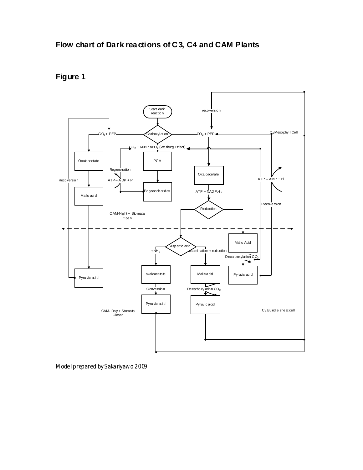



Model prepared by S akariyawo 2009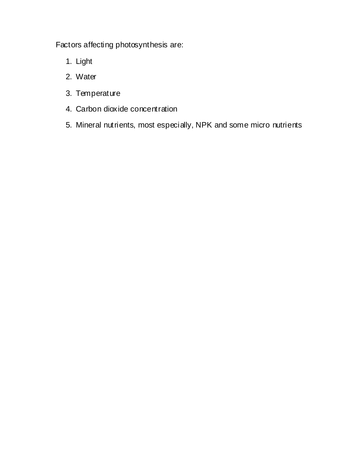Factors affecting photosynthesis are:

- 1. Light
- 2. Water
- 3. Temperature
- 4. Carbon dioxide concentration
- 5. Mineral nutrients, most especially, NPK and some micro nutrients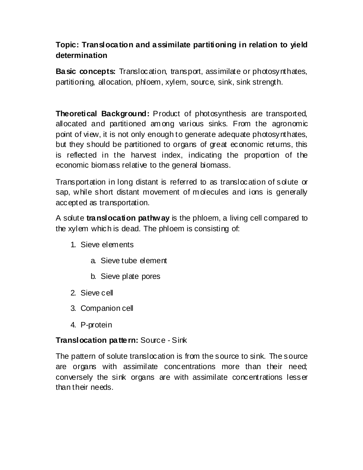# **Topic: Translocation and assimilate partitioning in relation to yield determination**

**Basic concepts:** Translocation, transport, assimilate or photosynthates, partitioning, allocation, phloem, xylem, source, sink, sink strength.

**Theoretical Background:** Product of photosynthesis are transported, allocated and partitioned am ong various sinks. From the agronomic point of view, it is not only enough to generate adequate photosynthates, but they should be partitioned to organs of great economic returns, this is reflected in the harvest index, indicating the proportion of the economic biomass relative to the general biomass.

Transportation in long distant is referred to as translocation of solute or sap, while short distant movement of molecules and ions is generally accepted as transportation.

A solute **translocation pathway** is the phloem, a living cell compared to the xylem which is dead. The phloem is consisting of:

- 1. Sieve elements
	- a. Sieve tube element
	- b. Sieve plate pores
- 2. Sieve cell
- 3. Companion cell
- 4. P-protein

### **Translocation pattern:** Source - Sink

The pattern of solute translocation is from the source to sink. The source are organs with assimilate concentrations more than their need; conversely the sink organs are with assimilate concentrations lesser than their needs.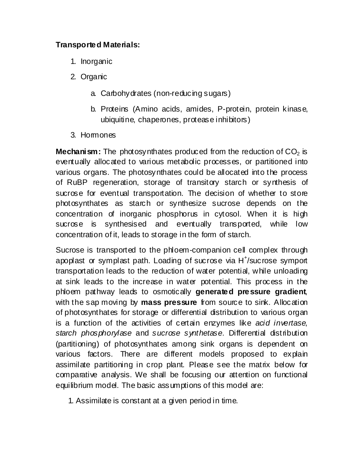## **Transported Materials:**

- 1. Inorganic
- 2. Organic
	- a. Carbohydrates (non-reducing sugars)
	- b. Proteins (Amino acids, amides, P-protein, protein kinase, ubiquitine, chaperones, protease inhibitors)
- 3. Hormones

**Mechanism:** The photosynthates produced from the reduction of  $CO<sub>2</sub>$  is eventually allocated to various metabolic processes, or partitioned into various organs. The photosynthates could be allocated into the process of RuBP regeneration, storage of transitory starch or synthesis of sucrose for eventual transportation. The decision of whether to store photosynthates as starch or synthesize sucrose depends on the concentration of inorganic phosphorus in cytosol. When it is high sucrose is synthesised and eventually transported, while low concentration of it, leads to storage in the form of starch.

Sucrose is transported to the phloem-companion cell complex through apoplast or symplast path. Loading of sucrose via H<sup>+</sup>/sucrose symport transportation leads to the reduction of water potential, while unloading at sink leads to the increase in water potential. This process in the phloem pathway leads to osmotically **generated pressure gradient**, with the sap moving by **mass pressure** from source to sink. Allocation of photosynthates for storage or differential distribution to various organ is a function of the activities of certain enzymes like *acid invertase*, *starch phosphorylase* and *sucrose synthetase*. Differential distribution (partitioning) of photosynthates among sink organs is dependent on various factors. There are different models proposed to explain assimilate partitioning in crop plant. Please see the matrix below for comparative analysis. We shall be focusing our attention on functional equilibrium model. The basic assumptions of this model are:

1. Assimilate is constant at a given period in time.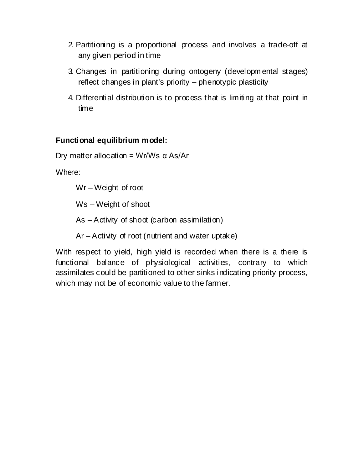- 2. Partitioning is a proportional process and involves a trade-off at any given period in time
- 3. Changes in partitioning during ontogeny (developm ental stages) reflect changes in plant's priority – phenotypic plasticity
- 4. Differential distribution is to process that is limiting at that point in time

### **Functional equilibrium model:**

Dry matter allocation = Wr/Ws  $α$  As/Ar

Where:

Wr – Weight of root

Ws – Weight of shoot

As – Activity of shoot (carbon assimilation)

Ar – Activity of root (nutrient and water uptake)

With respect to yield, high yield is recorded when there is a there is functional balance of physiological activities, contrary to which assimilates could be partitioned to other sinks indicating priority process, which may not be of economic value to the farmer.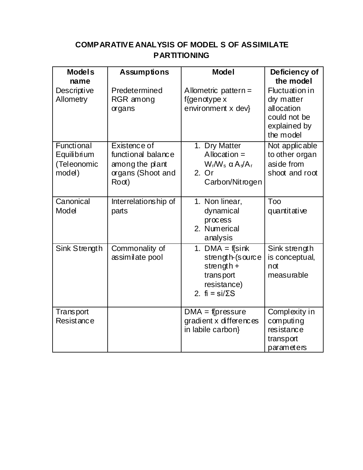# **COMPARATIVE ANALYSIS OF MODEL S OF ASSIMILATE PARTITIONING**

| <b>Models</b><br>name                              | <b>Assumptions</b>                                                                  | <b>Model</b>                                                                                          | Deficiency of<br>the model                                                                     |
|----------------------------------------------------|-------------------------------------------------------------------------------------|-------------------------------------------------------------------------------------------------------|------------------------------------------------------------------------------------------------|
| Descriptive<br>Allometry                           | Predetermined<br>RGR among<br>organs                                                | Allometric pattern $=$<br>$f$ {genotype x<br>environment x dev}                                       | <b>Fluctuation in</b><br>dry matter<br>allocation<br>could not be<br>explained by<br>the model |
| Functional<br>Equilibrium<br>(Teleonomic<br>model) | Existence of<br>functional balance<br>among the plant<br>organs (Shoot and<br>Root) | 1. Dry Matter<br>Allocation $=$<br>$W_f/W_s$ $\alpha A_s/A_f$<br>2. Or<br>Carbon/Nitrogen             | Not applicable<br>to other organ<br>aside from<br>shoot and root                               |
| Canonical<br>Model                                 | Interrelationship of<br>parts                                                       | 1. Non linear,<br>dynamical<br>process<br>2. Numerical<br>analysis                                    | Too<br>quantitative                                                                            |
| Sink Strength                                      | Commonality of<br>assimilate pool                                                   | 1. DMA = $f\sin k$<br>strength-(source<br>strength $+$<br>transport<br>resistance)<br>2. $fi = si/ES$ | Sink strength<br>is conceptual,<br>not<br>measurable                                           |
| <b>Transport</b><br>Resistance                     |                                                                                     | $DMA = f(pressure$<br>gradient x differences<br>in labile carbon}                                     | Complexity in<br>computing<br>resistance<br>transport<br>parameters                            |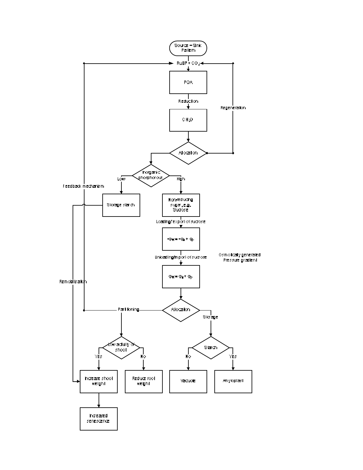